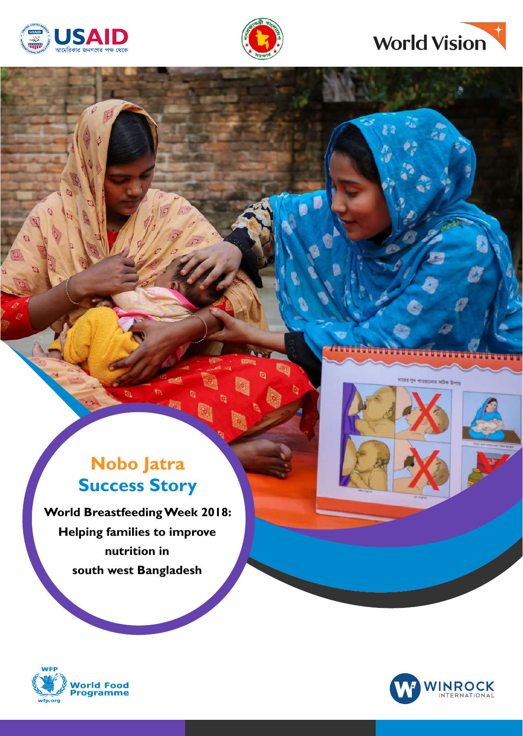





## **Nobo Jatra Success Story**

**World Breastfeeding Week 2018: Helping families to improve nutrition in south west Bangladesh**



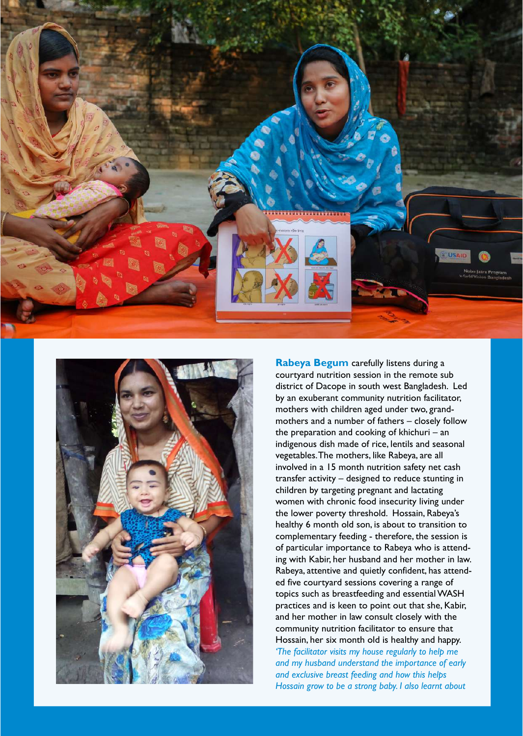



**Rabeya Begum** carefully listens during a courtyard nutrition session in the remote sub district of Dacope in south west Bangladesh. Led by an exuberant community nutrition facilitator, mothers with children aged under two, grandmothers and a number of fathers – closely follow the preparation and cooking of khichuri – an indigenous dish made of rice, lentils and seasonal vegetables. The mothers, like Rabeya, are all involved in a 15 month nutrition safety net cash transfer activity – designed to reduce stunting in children by targeting pregnant and lactating women with chronic food insecurity living under the lower poverty threshold. Hossain, Rabeya's healthy 6 month old son, is about to transition to complementary feeding - therefore, the session is of particular importance to Rabeya who is attending with Kabir, her husband and her mother in law. Rabeya, attentive and quietly confident, has attended five courtyard sessions covering a range of topics such as breastfeeding and essential WASH practices and is keen to point out that she, Kabir, and her mother in law consult closely with the community nutrition facilitator to ensure that Hossain, her six month old is healthy and happy. *'The facilitator visits my house regularly to help me and my husband understand the importance of early and exclusive breast feeding and how this helps Hossain grow to be a strong baby. I also learnt about*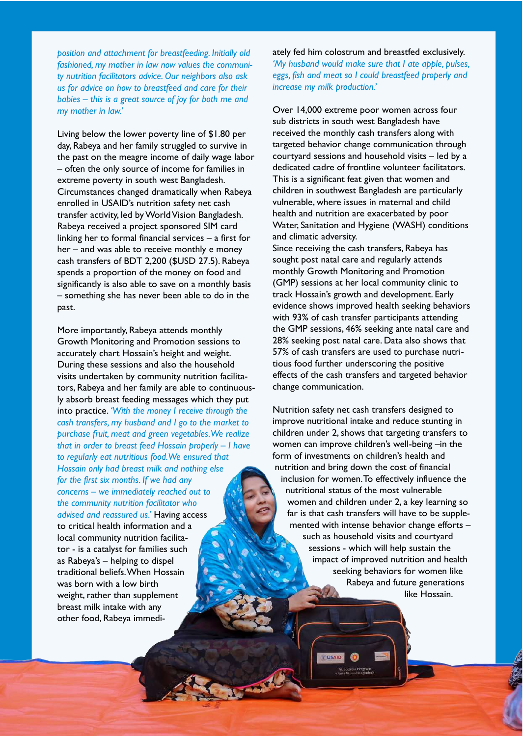*position and attachment for breastfeeding. Initially old fashioned, my mother in law now values the community nutrition facilitators advice. Our neighbors also ask us for advice on how to breastfeed and care for their babies – this is a great source of joy for both me and my mother in law.'* 

Living below the lower poverty line of \$1.80 per day, Rabeya and her family struggled to survive in the past on the meagre income of daily wage labor – often the only source of income for families in extreme poverty in south west Bangladesh. Circumstances changed dramatically when Rabeya enrolled in USAID's nutrition safety net cash transfer activity, led by World Vision Bangladesh. Rabeya received a project sponsored SIM card linking her to formal financial services – a first for her – and was able to receive monthly e money cash transfers of BDT 2,200 (\$USD 27.5). Rabeya spends a proportion of the money on food and significantly is also able to save on a monthly basis – something she has never been able to do in the past.

More importantly, Rabeya attends monthly Growth Monitoring and Promotion sessions to accurately chart Hossain's height and weight. During these sessions and also the household visits undertaken by community nutrition facilitators, Rabeya and her family are able to continuously absorb breast feeding messages which they put into practice. *'With the money I receive through the cash transfers, my husband and I go to the market to purchase fruit, meat and green vegetables. We realize that in order to breast feed Hossain properly – I have to regularly eat nutritious food. We ensured that Hossain only had breast milk and nothing else for the first six months. If we had any concerns – we immediately reached out to the community nutrition facilitator who advised and reassured us.'* Having access to critical health information and a local community nutrition facilitator - is a catalyst for families such as Rabeya's – helping to dispel traditional beliefs. When Hossain was born with a low birth weight, rather than supplement breast milk intake with any other food, Rabeya immediately fed him colostrum and breastfed exclusively. *'My husband would make sure that I ate apple, pulses, eggs, fish and meat so I could breastfeed properly and increase my milk production.'*

Over 14,000 extreme poor women across four sub districts in south west Bangladesh have received the monthly cash transfers along with targeted behavior change communication through courtyard sessions and household visits – led by a dedicated cadre of frontline volunteer facilitators. This is a significant feat given that women and children in southwest Bangladesh are particularly vulnerable, where issues in maternal and child health and nutrition are exacerbated by poor Water, Sanitation and Hygiene (WASH) conditions and climatic adversity.

Since receiving the cash transfers, Rabeya has sought post natal care and regularly attends monthly Growth Monitoring and Promotion (GMP) sessions at her local community clinic to track Hossain's growth and development. Early evidence shows improved health seeking behaviors with 93% of cash transfer participants attending the GMP sessions, 46% seeking ante natal care and 28% seeking post natal care. Data also shows that 57% of cash transfers are used to purchase nutritious food further underscoring the positive effects of the cash transfers and targeted behavior change communication.

Nutrition safety net cash transfers designed to improve nutritional intake and reduce stunting in children under 2, shows that targeting transfers to women can improve children's well-being –in the form of investments on children's health and nutrition and bring down the cost of financial inclusion for women. To effectively influence the nutritional status of the most vulnerable women and children under 2, a key learning so far is that cash transfers will have to be supplemented with intense behavior change efforts – such as household visits and courtyard sessions - which will help sustain the impact of improved nutrition and health seeking behaviors for women like Rabeya and future generations like Hossain.